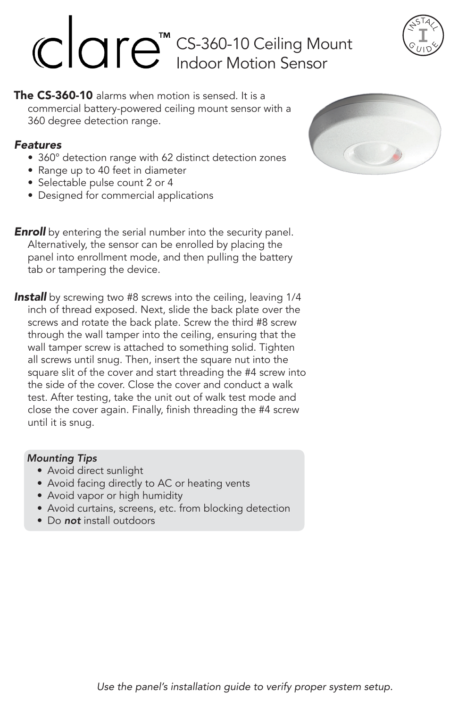# CS-360-10 Ceiling Mount Indoor Motion Sensor



The CS-360-10 alarms when motion is sensed. It is a commercial battery-powered ceiling mount sensor with a 360 degree detection range.

## *Features*

- 360° detection range with 62 distinct detection zones
- Range up to 40 feet in diameter
- Selectable pulse count 2 or 4
- Designed for commercial applications

**Enroll** by entering the serial number into the security panel. Alternatively, the sensor can be enrolled by placing the panel into enrollment mode, and then pulling the battery tab or tampering the device.

**Install** by screwing two #8 screws into the ceiling, leaving 1/4 inch of thread exposed. Next, slide the back plate over the screws and rotate the back plate. Screw the third #8 screw through the wall tamper into the ceiling, ensuring that the wall tamper screw is attached to something solid. Tighten all screws until snug. Then, insert the square nut into the square slit of the cover and start threading the #4 screw into the side of the cover. Close the cover and conduct a walk test. After testing, take the unit out of walk test mode and close the cover again. Finally, finish threading the #4 screw until it is snug.

## *Mounting Tips*

- Avoid direct sunlight
- Avoid facing directly to AC or heating vents
- Avoid vapor or high humidity
- Avoid curtains, screens, etc. from blocking detection
- Do *not* install outdoors

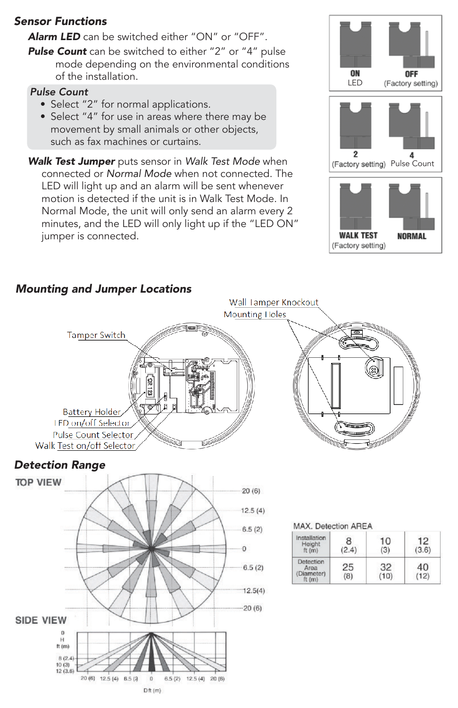## *Sensor Functions*

*Alarm LED* can be switched either "ON" or "OFF".

**Pulse Count** can be switched to either "2" or "4" pulse mode depending on the environmental conditions of the installation.

## *Pulse Count*

- Select "2" for normal applications.
- Select "4" for use in areas where there may be movement by small animals or other objects, such as fax machines or curtains.
- *Walk Test Jumper* puts sensor in *Walk Test Mode* when connected or *Normal Mode* when not connected. The LED will light up and an alarm will be sent whenever motion is detected if the unit is in Walk Test Mode. In Normal Mode, the unit will only send an alarm every 2 minutes, and the LED will only light up if the "LED ON" jumper is connected.







#### Wall Tamper Knockout Mounting Holes **Tamper Switch Battery Holder IFD on/off Selector Pulse Count Selector** Walk Test on/off Selector *Detection Range* **TOP VIEW**  $20(6)$  $12.5(4)$ MAX. Detection AREA  $6.5(2)$ Installation  $\overline{8}$  $10$  $12$ Height<br>ft (m)  $\overline{0}$  $(2.4)$  $(3)$  $(3.6)$ Detection 25 32 40  $6.5(2)$ Area<br>(Diameter)  $(8)$  $(10)$  $(12)$ ft (m)  $12.5(4)$  $-20(6)$ **SIDE VIEW** ft $(m)$  $8(2.4)$  $10(3)$ <br> $12(3.6)$ 20 (6) 12.5 (4) 6.5 (2)  $6.5(2)$  12.5 (4) 20 (6)  $\mathbf{0}$  $Dff(m)$

## *Mounting and Jumper Locations*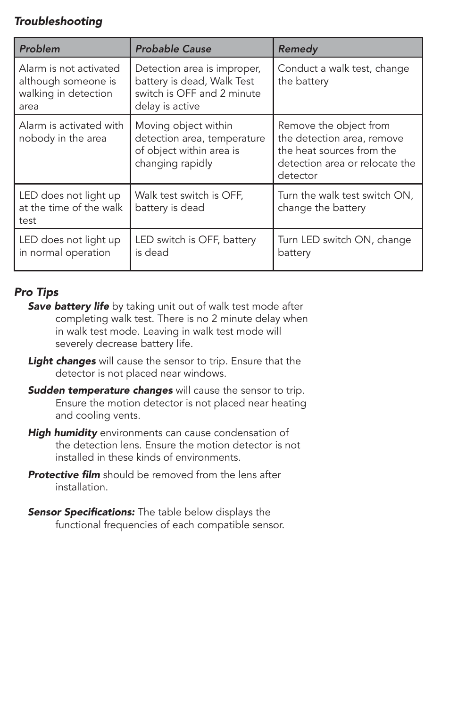# *Troubleshooting*

| Problem                                                                       | <b>Probable Cause</b>                                                                                      | Remedy                                                                                                                          |
|-------------------------------------------------------------------------------|------------------------------------------------------------------------------------------------------------|---------------------------------------------------------------------------------------------------------------------------------|
| Alarm is not activated<br>although someone is<br>walking in detection<br>area | Detection area is improper,<br>battery is dead, Walk Test<br>switch is OFF and 2 minute<br>delay is active | Conduct a walk test, change<br>the battery                                                                                      |
| Alarm is activated with<br>nobody in the area                                 | Moving object within<br>detection area, temperature<br>of object within area is<br>changing rapidly        | Remove the object from<br>the detection area, remove<br>the heat sources from the<br>detection area or relocate the<br>detector |
| LED does not light up<br>at the time of the walk<br>test                      | Walk test switch is OFF,<br>battery is dead                                                                | Turn the walk test switch ON,<br>change the battery                                                                             |
| LED does not light up<br>in normal operation                                  | LED switch is OFF, battery<br>is dead                                                                      | Turn LED switch ON, change<br>battery                                                                                           |

# *Pro Tips*

- **Save battery life** by taking unit out of walk test mode after completing walk test. There is no 2 minute delay when in walk test mode. Leaving in walk test mode will severely decrease battery life.
- *Light changes* will cause the sensor to trip. Ensure that the detector is not placed near windows.
- *Sudden temperature changes* will cause the sensor to trip. Ensure the motion detector is not placed near heating and cooling vents.
- *High humidity* environments can cause condensation of the detection lens. Ensure the motion detector is not installed in these kinds of environments.
- **Protective film** should be removed from the lens after installation.
- Sensor Specifications: The table below displays the functional frequencies of each compatible sensor.